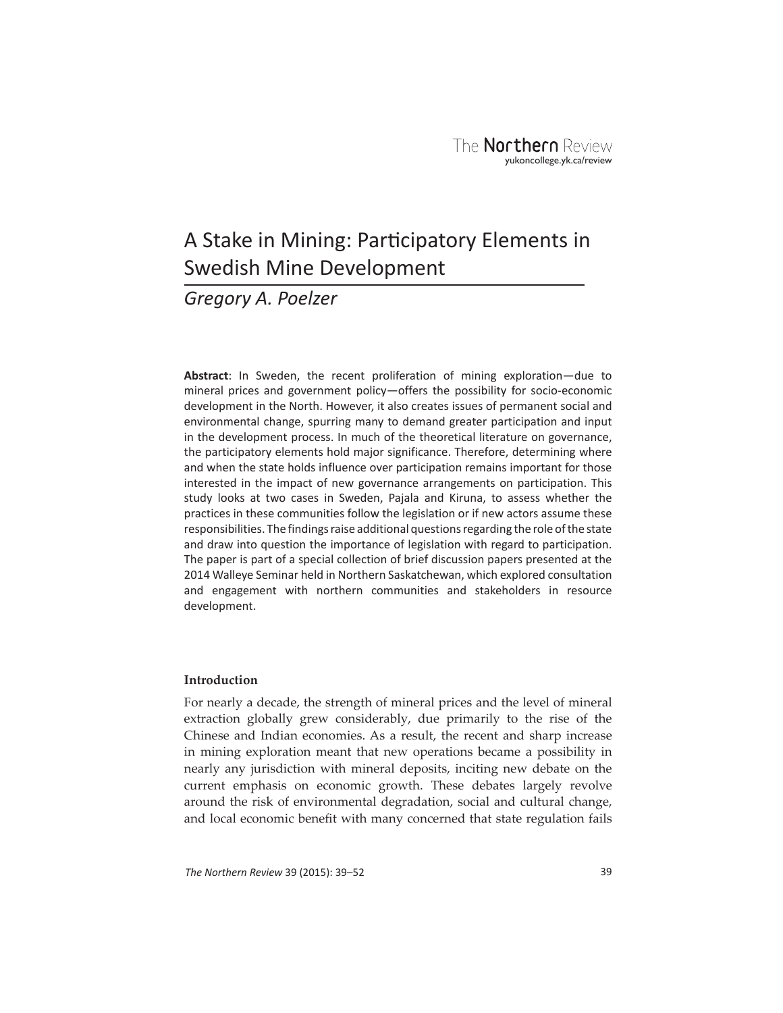# A Stake in Mining: Participatory Elements in Swedish Mine Development

# *Gregory A. Poelzer*

**Abstract**: In Sweden, the recent proliferation of mining exploration—due to mineral prices and government policy—offers the possibility for socio-economic development in the North. However, it also creates issues of permanent social and environmental change, spurring many to demand greater participation and input in the development process. In much of the theoretical literature on governance, the participatory elements hold major significance. Therefore, determining where and when the state holds influence over participation remains important for those interested in the impact of new governance arrangements on participation. This study looks at two cases in Sweden, Pajala and Kiruna, to assess whether the practices in these communities follow the legislation or if new actors assume these responsibilities. The findings raise additional questions regarding the role of the state and draw into question the importance of legislation with regard to participation. The paper is part of a special collection of brief discussion papers presented at the 2014 Walleye Seminar held in Northern Saskatchewan, which explored consultation and engagement with northern communities and stakeholders in resource development.

# **Introduction**

For nearly a decade, the strength of mineral prices and the level of mineral extraction globally grew considerably, due primarily to the rise of the Chinese and Indian economies. As a result, the recent and sharp increase in mining exploration meant that new operations became a possibility in nearly any jurisdiction with mineral deposits, inciting new debate on the current emphasis on economic growth. These debates largely revolve around the risk of environmental degradation, social and cultural change, and local economic benefit with many concerned that state regulation fails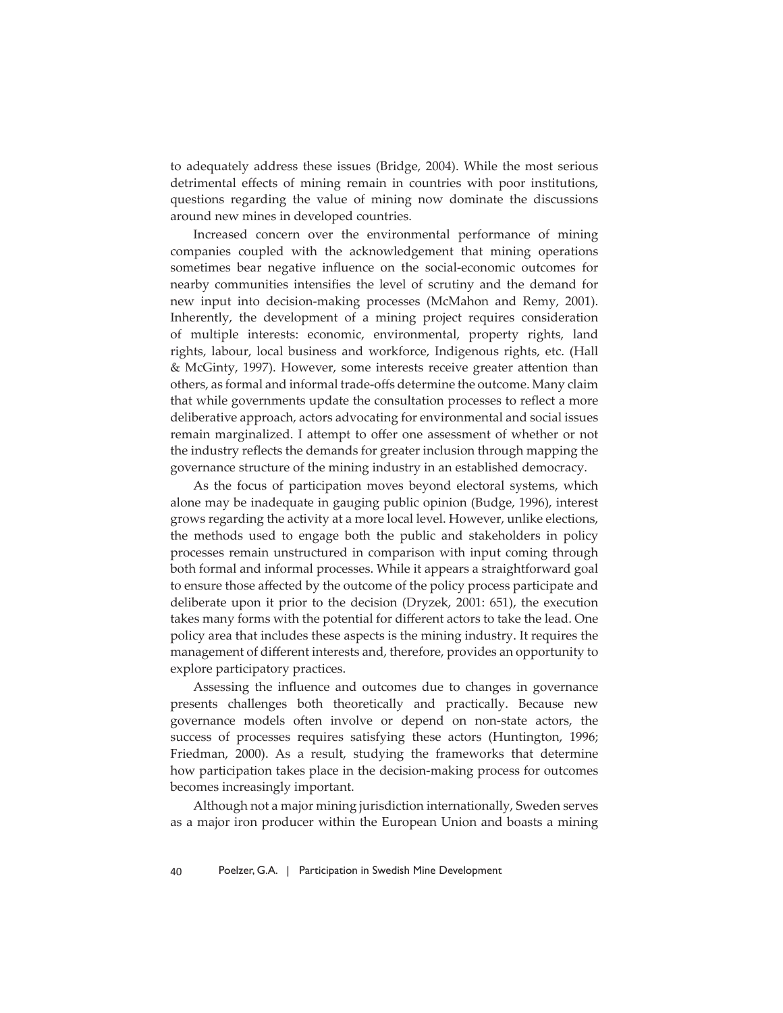to adequately address these issues (Bridge, 2004). While the most serious detrimental effects of mining remain in countries with poor institutions, questions regarding the value of mining now dominate the discussions around new mines in developed countries.

Increased concern over the environmental performance of mining companies coupled with the acknowledgement that mining operations sometimes bear negative influence on the social-economic outcomes for nearby communities intensifies the level of scrutiny and the demand for new input into decision-making processes (McMahon and Remy, 2001). Inherently, the development of a mining project requires consideration of multiple interests: economic, environmental, property rights, land rights, labour, local business and workforce, Indigenous rights, etc. (Hall & McGinty, 1997). However, some interests receive greater attention than others, as formal and informal trade-offs determine the outcome. Many claim that while governments update the consultation processes to reflect a more deliberative approach, actors advocating for environmental and social issues remain marginalized. I attempt to offer one assessment of whether or not the industry reflects the demands for greater inclusion through mapping the governance structure of the mining industry in an established democracy.

As the focus of participation moves beyond electoral systems, which alone may be inadequate in gauging public opinion (Budge, 1996), interest grows regarding the activity at a more local level. However, unlike elections, the methods used to engage both the public and stakeholders in policy processes remain unstructured in comparison with input coming through both formal and informal processes. While it appears a straightforward goal to ensure those affected by the outcome of the policy process participate and deliberate upon it prior to the decision (Dryzek, 2001: 651), the execution takes many forms with the potential for different actors to take the lead. One policy area that includes these aspects is the mining industry. It requires the management of different interests and, therefore, provides an opportunity to explore participatory practices.

Assessing the influence and outcomes due to changes in governance presents challenges both theoretically and practically. Because new governance models often involve or depend on non-state actors, the success of processes requires satisfying these actors (Huntington, 1996; Friedman, 2000). As a result, studying the frameworks that determine how participation takes place in the decision-making process for outcomes becomes increasingly important.

Although not a major mining jurisdiction internationally, Sweden serves as a major iron producer within the European Union and boasts a mining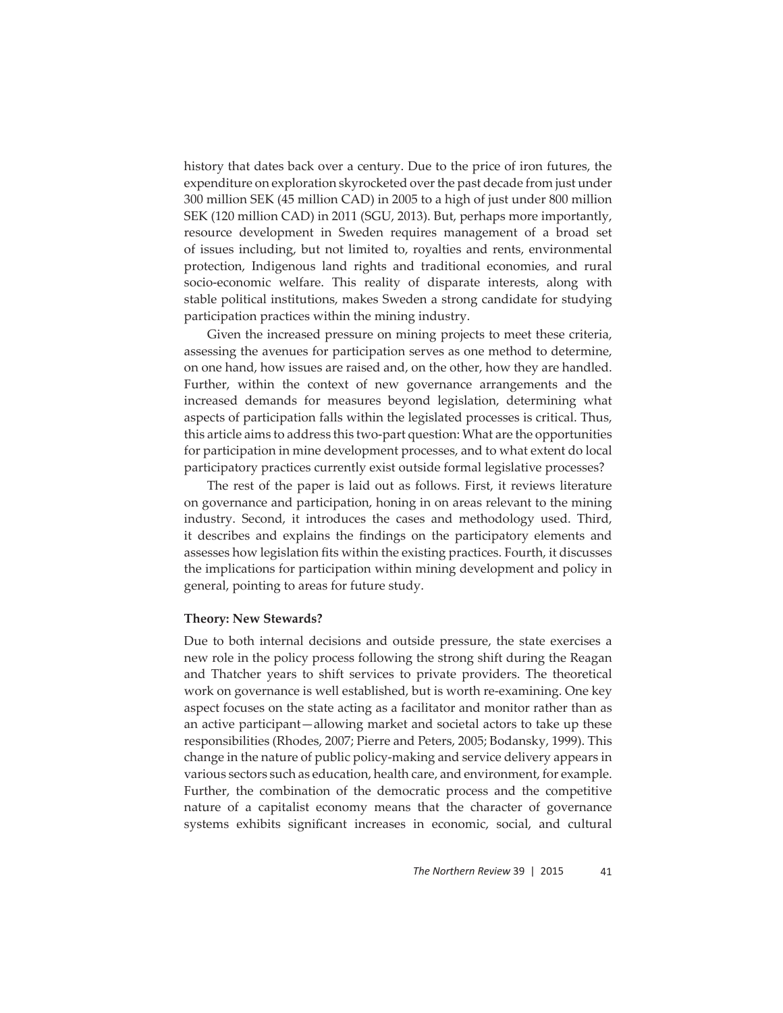history that dates back over a century. Due to the price of iron futures, the expenditure on exploration skyrocketed over the past decade from just under 300 million SEK (45 million CAD) in 2005 to a high of just under 800 million SEK (120 million CAD) in 2011 (SGU, 2013). But, perhaps more importantly, resource development in Sweden requires management of a broad set of issues including, but not limited to, royalties and rents, environmental protection, Indigenous land rights and traditional economies, and rural socio-economic welfare. This reality of disparate interests, along with stable political institutions, makes Sweden a strong candidate for studying participation practices within the mining industry.

Given the increased pressure on mining projects to meet these criteria, assessing the avenues for participation serves as one method to determine, on one hand, how issues are raised and, on the other, how they are handled. Further, within the context of new governance arrangements and the increased demands for measures beyond legislation, determining what aspects of participation falls within the legislated processes is critical. Thus, this article aims to address this two-part question: What are the opportunities for participation in mine development processes, and to what extent do local participatory practices currently exist outside formal legislative processes?

The rest of the paper is laid out as follows. First, it reviews literature on governance and participation, honing in on areas relevant to the mining industry. Second, it introduces the cases and methodology used. Third, it describes and explains the findings on the participatory elements and assesses how legislation fits within the existing practices. Fourth, it discusses the implications for participation within mining development and policy in general, pointing to areas for future study.

# **Theory: New Stewards?**

Due to both internal decisions and outside pressure, the state exercises a new role in the policy process following the strong shift during the Reagan and Thatcher years to shift services to private providers. The theoretical work on governance is well established, but is worth re-examining. One key aspect focuses on the state acting as a facilitator and monitor rather than as an active participant—allowing market and societal actors to take up these responsibilities (Rhodes, 2007; Pierre and Peters, 2005; Bodansky, 1999). This change in the nature of public policy-making and service delivery appears in various sectors such as education, health care, and environment, for example. Further, the combination of the democratic process and the competitive nature of a capitalist economy means that the character of governance systems exhibits significant increases in economic, social, and cultural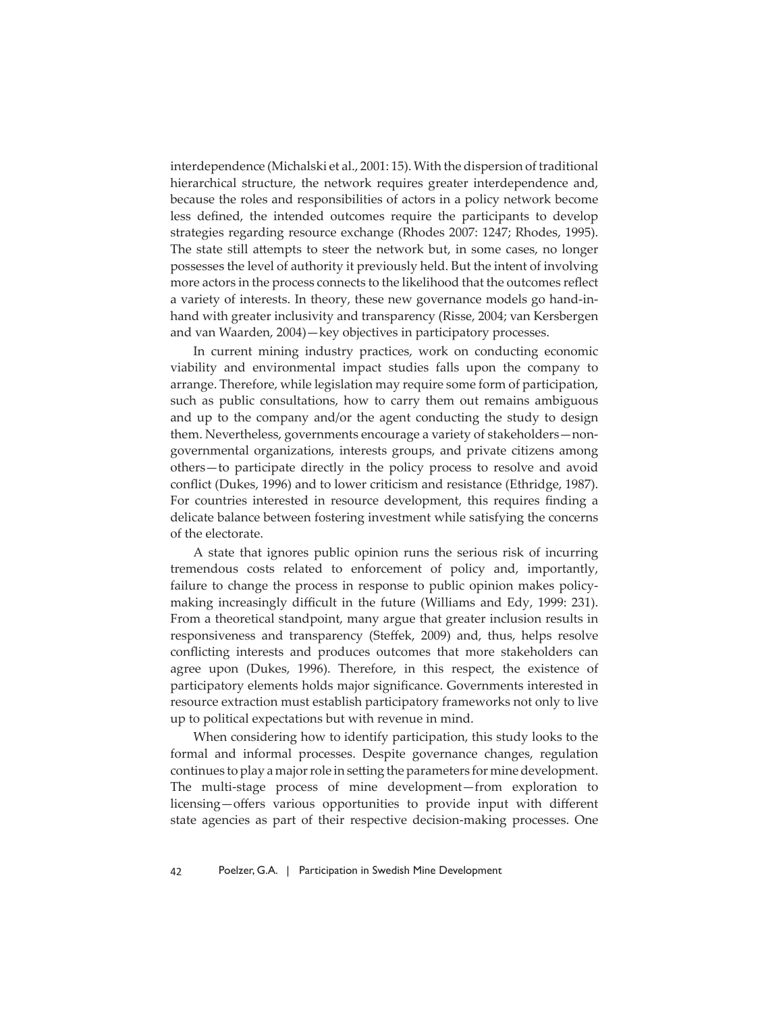interdependence (Michalski et al., 2001: 15). With the dispersion of traditional hierarchical structure, the network requires greater interdependence and, because the roles and responsibilities of actors in a policy network become less defined, the intended outcomes require the participants to develop strategies regarding resource exchange (Rhodes 2007: 1247; Rhodes, 1995). The state still attempts to steer the network but, in some cases, no longer possesses the level of authority it previously held. But the intent of involving more actors in the process connects to the likelihood that the outcomes reflect a variety of interests. In theory, these new governance models go hand-inhand with greater inclusivity and transparency (Risse, 2004; van Kersbergen and van Waarden, 2004)—key objectives in participatory processes.

In current mining industry practices, work on conducting economic viability and environmental impact studies falls upon the company to arrange. Therefore, while legislation may require some form of participation, such as public consultations, how to carry them out remains ambiguous and up to the company and/or the agent conducting the study to design them. Nevertheless, governments encourage a variety of stakeholders—nongovernmental organizations, interests groups, and private citizens among others—to participate directly in the policy process to resolve and avoid conflict (Dukes, 1996) and to lower criticism and resistance (Ethridge, 1987). For countries interested in resource development, this requires finding a delicate balance between fostering investment while satisfying the concerns of the electorate.

A state that ignores public opinion runs the serious risk of incurring tremendous costs related to enforcement of policy and, importantly, failure to change the process in response to public opinion makes policymaking increasingly difficult in the future (Williams and Edy, 1999: 231). From a theoretical standpoint, many argue that greater inclusion results in responsiveness and transparency (Steffek, 2009) and, thus, helps resolve conflicting interests and produces outcomes that more stakeholders can agree upon (Dukes, 1996). Therefore, in this respect, the existence of participatory elements holds major significance. Governments interested in resource extraction must establish participatory frameworks not only to live up to political expectations but with revenue in mind.

When considering how to identify participation, this study looks to the formal and informal processes. Despite governance changes, regulation continues to play a major role in setting the parameters for mine development. The multi-stage process of mine development—from exploration to licensing—offers various opportunities to provide input with different state agencies as part of their respective decision-making processes. One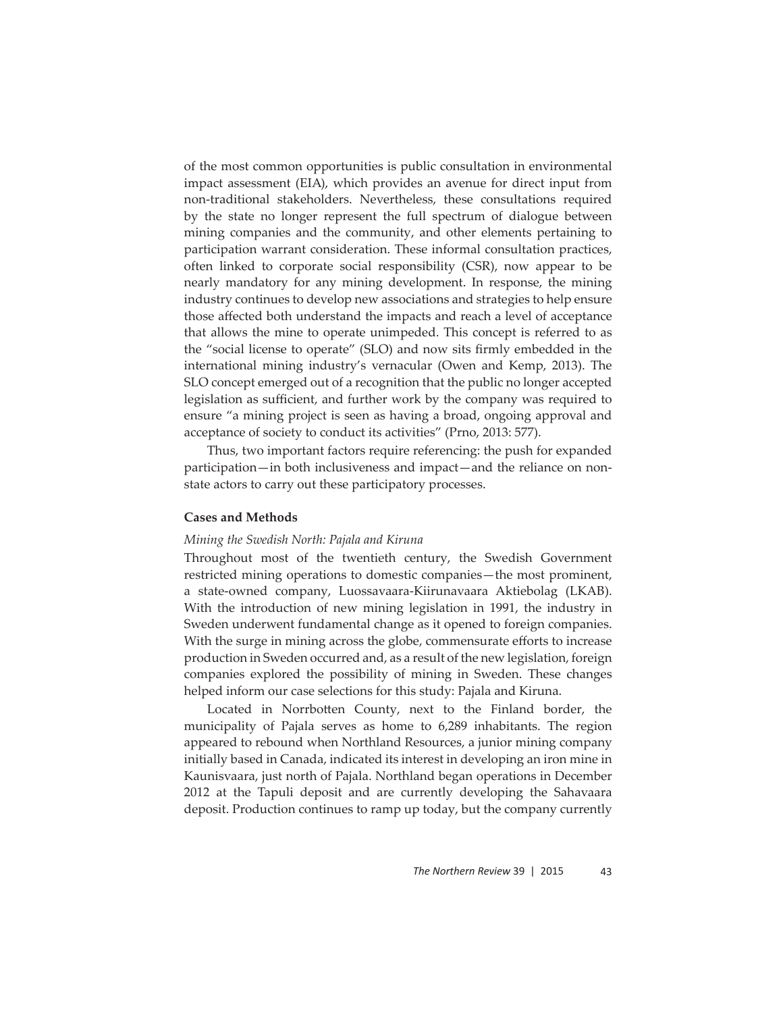of the most common opportunities is public consultation in environmental impact assessment (EIA), which provides an avenue for direct input from non-traditional stakeholders. Nevertheless, these consultations required by the state no longer represent the full spectrum of dialogue between mining companies and the community, and other elements pertaining to participation warrant consideration. These informal consultation practices, often linked to corporate social responsibility (CSR), now appear to be nearly mandatory for any mining development. In response, the mining industry continues to develop new associations and strategies to help ensure those affected both understand the impacts and reach a level of acceptance that allows the mine to operate unimpeded. This concept is referred to as the "social license to operate" (SLO) and now sits firmly embedded in the international mining industry's vernacular (Owen and Kemp, 2013). The SLO concept emerged out of a recognition that the public no longer accepted legislation as sufficient, and further work by the company was required to ensure "a mining project is seen as having a broad, ongoing approval and acceptance of society to conduct its activities" (Prno, 2013: 577).

Thus, two important factors require referencing: the push for expanded participation—in both inclusiveness and impact—and the reliance on nonstate actors to carry out these participatory processes.

# **Cases and Methods**

# *Mining the Swedish North: Pajala and Kiruna*

Throughout most of the twentieth century, the Swedish Government restricted mining operations to domestic companies—the most prominent, a state-owned company, Luossavaara-Kiirunavaara Aktiebolag (LKAB). With the introduction of new mining legislation in 1991, the industry in Sweden underwent fundamental change as it opened to foreign companies. With the surge in mining across the globe, commensurate efforts to increase production in Sweden occurred and, as a result of the new legislation, foreign companies explored the possibility of mining in Sweden. These changes helped inform our case selections for this study: Pajala and Kiruna.

Located in Norrbotten County, next to the Finland border, the municipality of Pajala serves as home to 6,289 inhabitants. The region appeared to rebound when Northland Resources, a junior mining company initially based in Canada, indicated its interest in developing an iron mine in Kaunisvaara, just north of Pajala. Northland began operations in December 2012 at the Tapuli deposit and are currently developing the Sahavaara deposit. Production continues to ramp up today, but the company currently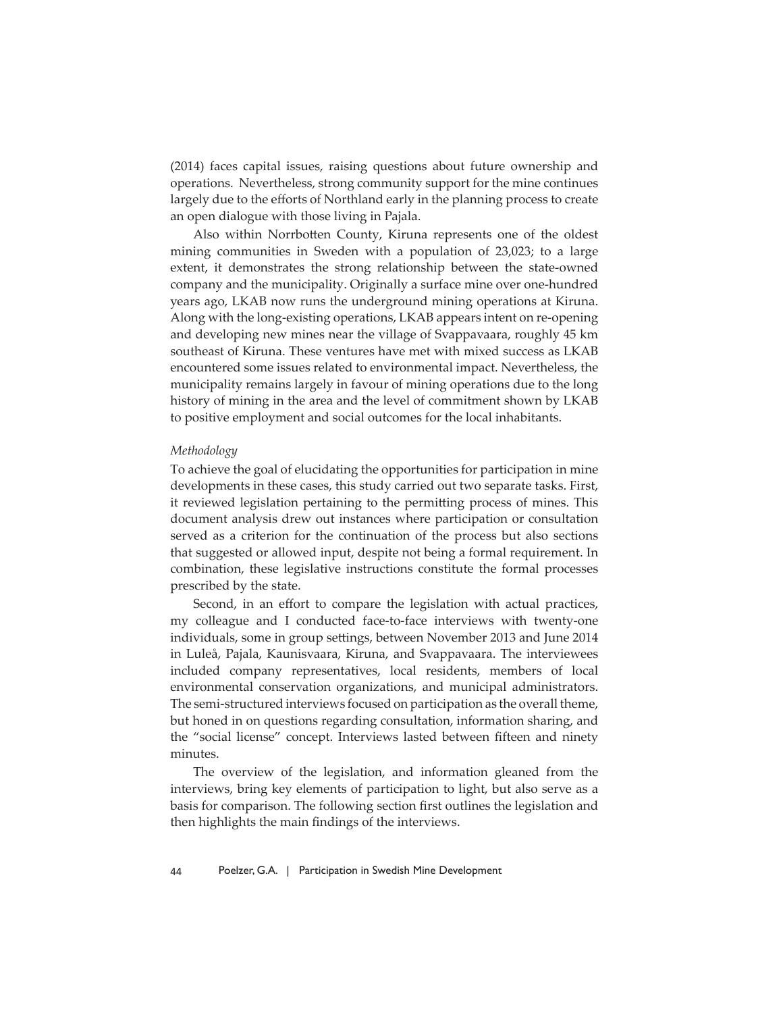(2014) faces capital issues, raising questions about future ownership and operations. Nevertheless, strong community support for the mine continues largely due to the efforts of Northland early in the planning process to create an open dialogue with those living in Pajala.

Also within Norrbotten County, Kiruna represents one of the oldest mining communities in Sweden with a population of 23,023; to a large extent, it demonstrates the strong relationship between the state-owned company and the municipality. Originally a surface mine over one-hundred years ago, LKAB now runs the underground mining operations at Kiruna. Along with the long-existing operations, LKAB appears intent on re-opening and developing new mines near the village of Svappavaara, roughly 45 km southeast of Kiruna. These ventures have met with mixed success as LKAB encountered some issues related to environmental impact. Nevertheless, the municipality remains largely in favour of mining operations due to the long history of mining in the area and the level of commitment shown by LKAB to positive employment and social outcomes for the local inhabitants.

#### *Methodology*

To achieve the goal of elucidating the opportunities for participation in mine developments in these cases, this study carried out two separate tasks. First, it reviewed legislation pertaining to the permitting process of mines. This document analysis drew out instances where participation or consultation served as a criterion for the continuation of the process but also sections that suggested or allowed input, despite not being a formal requirement. In combination, these legislative instructions constitute the formal processes prescribed by the state.

Second, in an effort to compare the legislation with actual practices, my colleague and I conducted face-to-face interviews with twenty-one individuals, some in group settings, between November 2013 and June 2014 in Luleå, Pajala, Kaunisvaara, Kiruna, and Svappavaara. The interviewees included company representatives, local residents, members of local environmental conservation organizations, and municipal administrators. The semi-structured interviews focused on participation as the overall theme, but honed in on questions regarding consultation, information sharing, and the "social license" concept. Interviews lasted between fifteen and ninety minutes.

The overview of the legislation, and information gleaned from the interviews, bring key elements of participation to light, but also serve as a basis for comparison. The following section first outlines the legislation and then highlights the main findings of the interviews.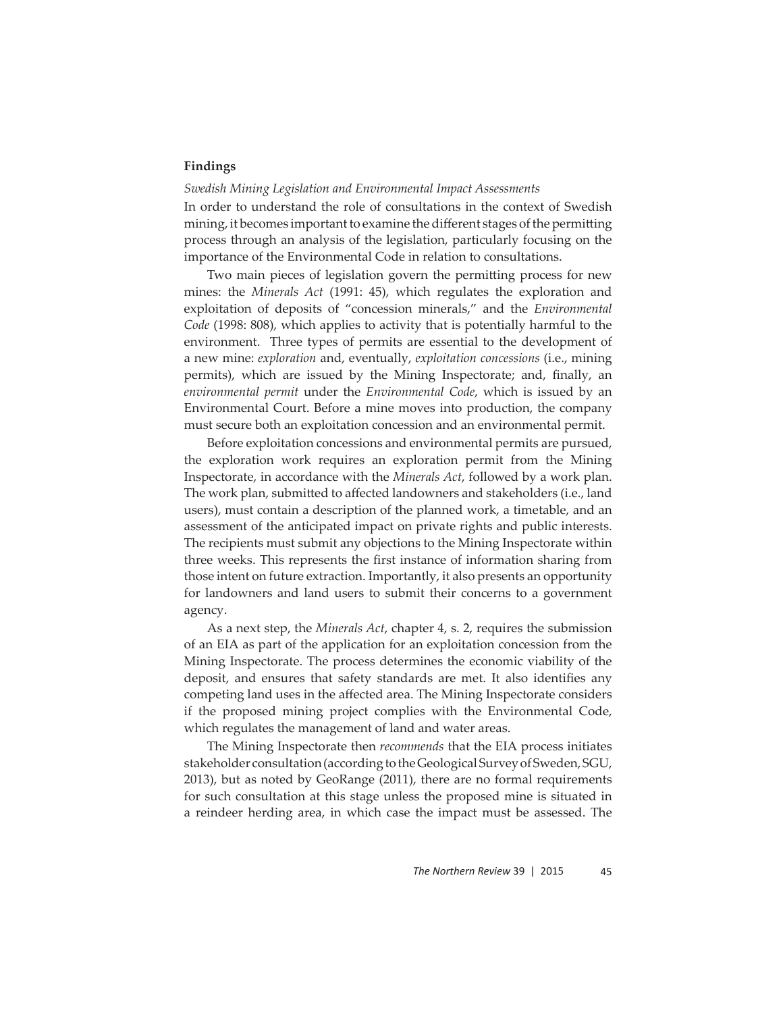# **Findings**

# *Swedish Mining Legislation and Environmental Impact Assessments*

In order to understand the role of consultations in the context of Swedish mining, it becomes important to examine the different stages of the permitting process through an analysis of the legislation, particularly focusing on the importance of the Environmental Code in relation to consultations.

Two main pieces of legislation govern the permitting process for new mines: the *Minerals Act* (1991: 45), which regulates the exploration and exploitation of deposits of "concession minerals," and the *Environmental Code* (1998: 808), which applies to activity that is potentially harmful to the environment. Three types of permits are essential to the development of a new mine: *exploration* and, eventually, *exploitation concessions* (i.e., mining permits), which are issued by the Mining Inspectorate; and, finally, an *environmental permit* under the *Environmental Code*, which is issued by an Environmental Court. Before a mine moves into production, the company must secure both an exploitation concession and an environmental permit.

Before exploitation concessions and environmental permits are pursued, the exploration work requires an exploration permit from the Mining Inspectorate, in accordance with the *Minerals Act*, followed by a work plan. The work plan, submitted to affected landowners and stakeholders (i.e., land users), must contain a description of the planned work, a timetable, and an assessment of the anticipated impact on private rights and public interests. The recipients must submit any objections to the Mining Inspectorate within three weeks. This represents the first instance of information sharing from those intent on future extraction. Importantly, it also presents an opportunity for landowners and land users to submit their concerns to a government agency.

As a next step, the *Minerals Act*, chapter 4, s. 2, requires the submission of an EIA as part of the application for an exploitation concession from the Mining Inspectorate. The process determines the economic viability of the deposit, and ensures that safety standards are met. It also identifies any competing land uses in the affected area. The Mining Inspectorate considers if the proposed mining project complies with the Environmental Code, which regulates the management of land and water areas.

The Mining Inspectorate then *recommends* that the EIA process initiates stakeholder consultation (according to the Geological Survey of Sweden, SGU, 2013), but as noted by GeoRange (2011), there are no formal requirements for such consultation at this stage unless the proposed mine is situated in a reindeer herding area, in which case the impact must be assessed. The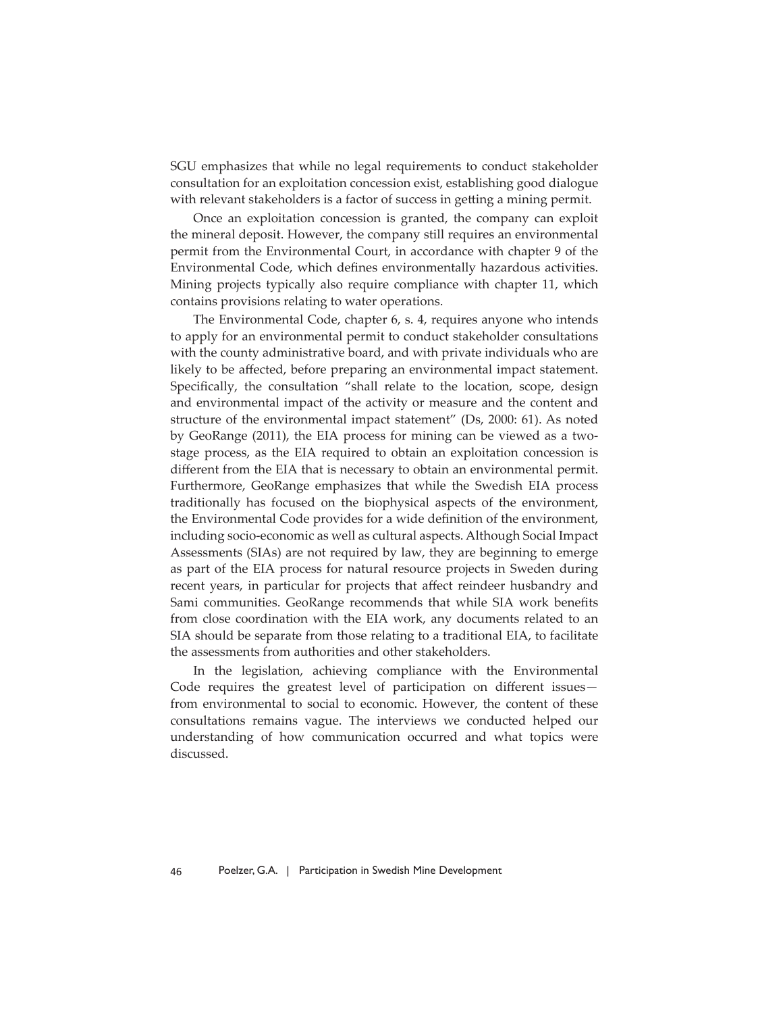SGU emphasizes that while no legal requirements to conduct stakeholder consultation for an exploitation concession exist, establishing good dialogue with relevant stakeholders is a factor of success in getting a mining permit.

Once an exploitation concession is granted, the company can exploit the mineral deposit. However, the company still requires an environmental permit from the Environmental Court, in accordance with chapter 9 of the Environmental Code, which defines environmentally hazardous activities. Mining projects typically also require compliance with chapter 11, which contains provisions relating to water operations.

The Environmental Code, chapter 6, s. 4, requires anyone who intends to apply for an environmental permit to conduct stakeholder consultations with the county administrative board, and with private individuals who are likely to be affected, before preparing an environmental impact statement. Specifically, the consultation "shall relate to the location, scope, design and environmental impact of the activity or measure and the content and structure of the environmental impact statement" (Ds, 2000: 61). As noted by GeoRange (2011), the EIA process for mining can be viewed as a twostage process, as the EIA required to obtain an exploitation concession is different from the EIA that is necessary to obtain an environmental permit. Furthermore, GeoRange emphasizes that while the Swedish EIA process traditionally has focused on the biophysical aspects of the environment, the Environmental Code provides for a wide definition of the environment, including socio-economic as well as cultural aspects. Although Social Impact Assessments (SIAs) are not required by law, they are beginning to emerge as part of the EIA process for natural resource projects in Sweden during recent years, in particular for projects that affect reindeer husbandry and Sami communities. GeoRange recommends that while SIA work benefits from close coordination with the EIA work, any documents related to an SIA should be separate from those relating to a traditional EIA, to facilitate the assessments from authorities and other stakeholders.

In the legislation, achieving compliance with the Environmental Code requires the greatest level of participation on different issuesfrom environmental to social to economic. However, the content of these consultations remains vague. The interviews we conducted helped our understanding of how communication occurred and what topics were discussed.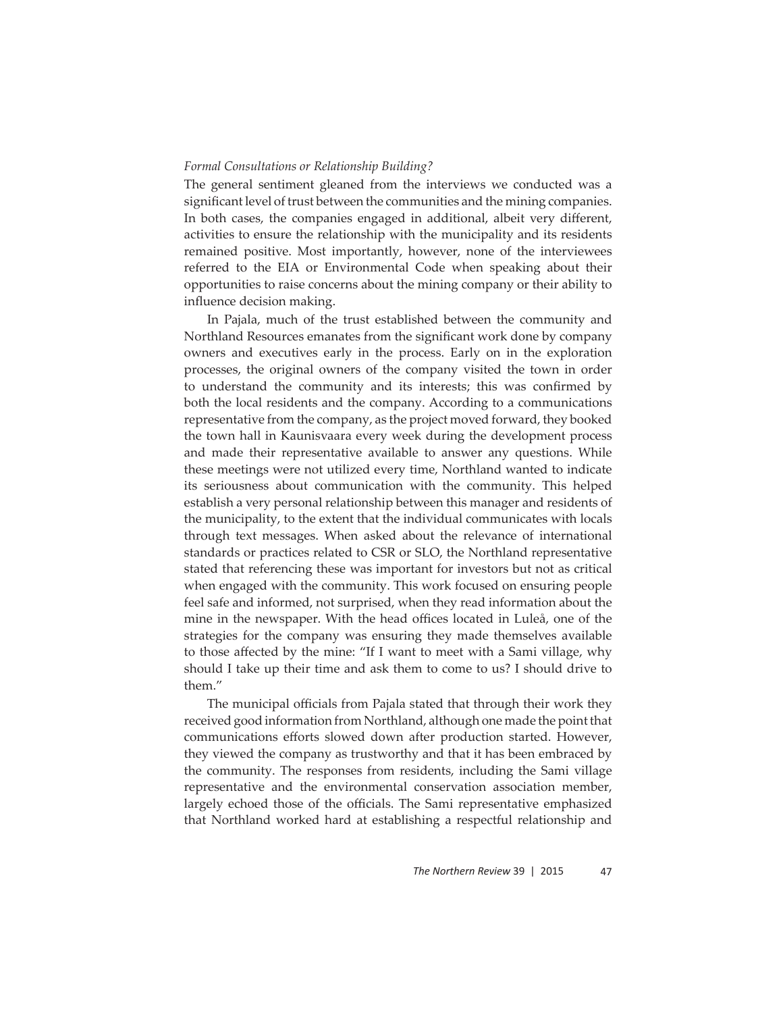#### *Formal Consultations or Relationship Building?*

The general sentiment gleaned from the interviews we conducted was a significant level of trust between the communities and the mining companies. In both cases, the companies engaged in additional, albeit very different, activities to ensure the relationship with the municipality and its residents remained positive. Most importantly, however, none of the interviewees referred to the EIA or Environmental Code when speaking about their opportunities to raise concerns about the mining company or their ability to influence decision making.

In Pajala, much of the trust established between the community and Northland Resources emanates from the significant work done by company owners and executives early in the process. Early on in the exploration processes, the original owners of the company visited the town in order to understand the community and its interests; this was confirmed by both the local residents and the company. According to a communications representative from the company, as the project moved forward, they booked the town hall in Kaunisvaara every week during the development process and made their representative available to answer any questions. While these meetings were not utilized every time, Northland wanted to indicate its seriousness about communication with the community. This helped establish a very personal relationship between this manager and residents of the municipality, to the extent that the individual communicates with locals through text messages. When asked about the relevance of international standards or practices related to CSR or SLO, the Northland representative stated that referencing these was important for investors but not as critical when engaged with the community. This work focused on ensuring people feel safe and informed, not surprised, when they read information about the mine in the newspaper. With the head offices located in Luleå, one of the strategies for the company was ensuring they made themselves available to those affected by the mine: "If I want to meet with a Sami village, why should I take up their time and ask them to come to us? I should drive to them."

The municipal officials from Pajala stated that through their work they received good information from Northland, although one made the point that communications efforts slowed down after production started. However, they viewed the company as trustworthy and that it has been embraced by the community. The responses from residents, including the Sami village representative and the environmental conservation association member, largely echoed those of the officials. The Sami representative emphasized that Northland worked hard at establishing a respectful relationship and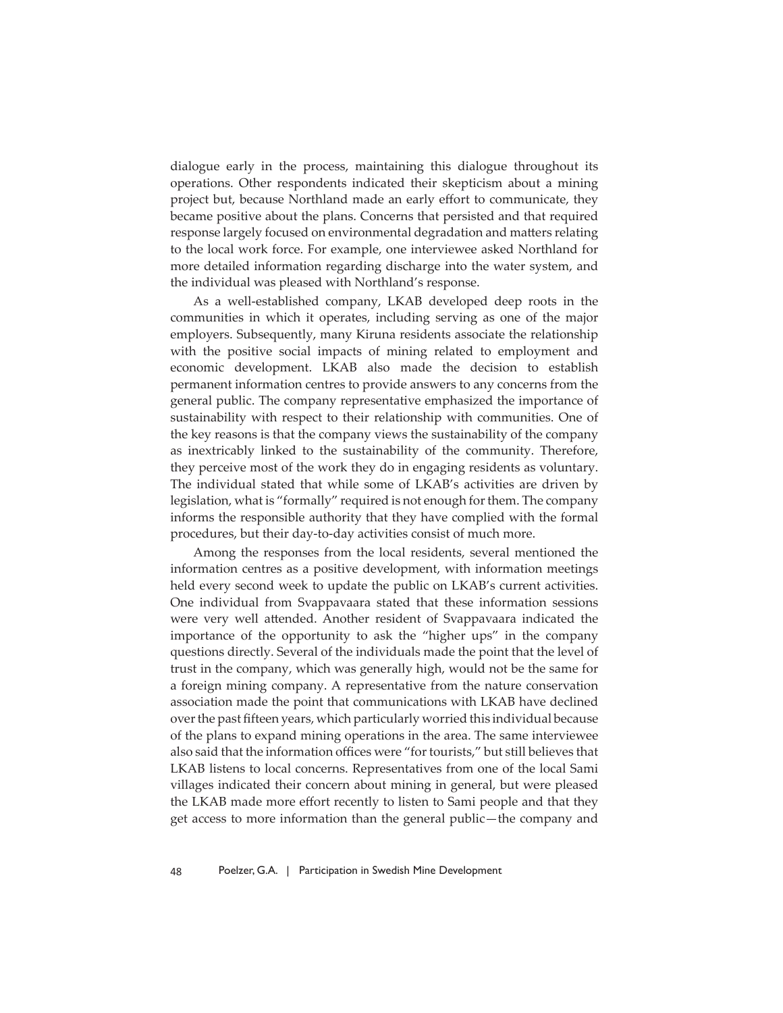dialogue early in the process, maintaining this dialogue throughout its operations. Other respondents indicated their skepticism about a mining project but, because Northland made an early effort to communicate, they became positive about the plans. Concerns that persisted and that required response largely focused on environmental degradation and matters relating to the local work force. For example, one interviewee asked Northland for more detailed information regarding discharge into the water system, and the individual was pleased with Northland's response.

As a well-established company, LKAB developed deep roots in the communities in which it operates, including serving as one of the major employers. Subsequently, many Kiruna residents associate the relationship with the positive social impacts of mining related to employment and economic development. LKAB also made the decision to establish permanent information centres to provide answers to any concerns from the general public. The company representative emphasized the importance of sustainability with respect to their relationship with communities. One of the key reasons is that the company views the sustainability of the company as inextricably linked to the sustainability of the community. Therefore, they perceive most of the work they do in engaging residents as voluntary. The individual stated that while some of LKAB's activities are driven by legislation, what is "formally" required is not enough for them. The company informs the responsible authority that they have complied with the formal procedures, but their day-to-day activities consist of much more.

Among the responses from the local residents, several mentioned the information centres as a positive development, with information meetings held every second week to update the public on LKAB's current activities. One individual from Svappavaara stated that these information sessions were very well attended. Another resident of Svappavaara indicated the importance of the opportunity to ask the "higher ups" in the company questions directly. Several of the individuals made the point that the level of trust in the company, which was generally high, would not be the same for a foreign mining company. A representative from the nature conservation association made the point that communications with LKAB have declined over the past fifteen years, which particularly worried this individual because of the plans to expand mining operations in the area. The same interviewee also said that the information offices were "for tourists," but still believes that LKAB listens to local concerns. Representatives from one of the local Sami villages indicated their concern about mining in general, but were pleased the LKAB made more effort recently to listen to Sami people and that they get access to more information than the general public—the company and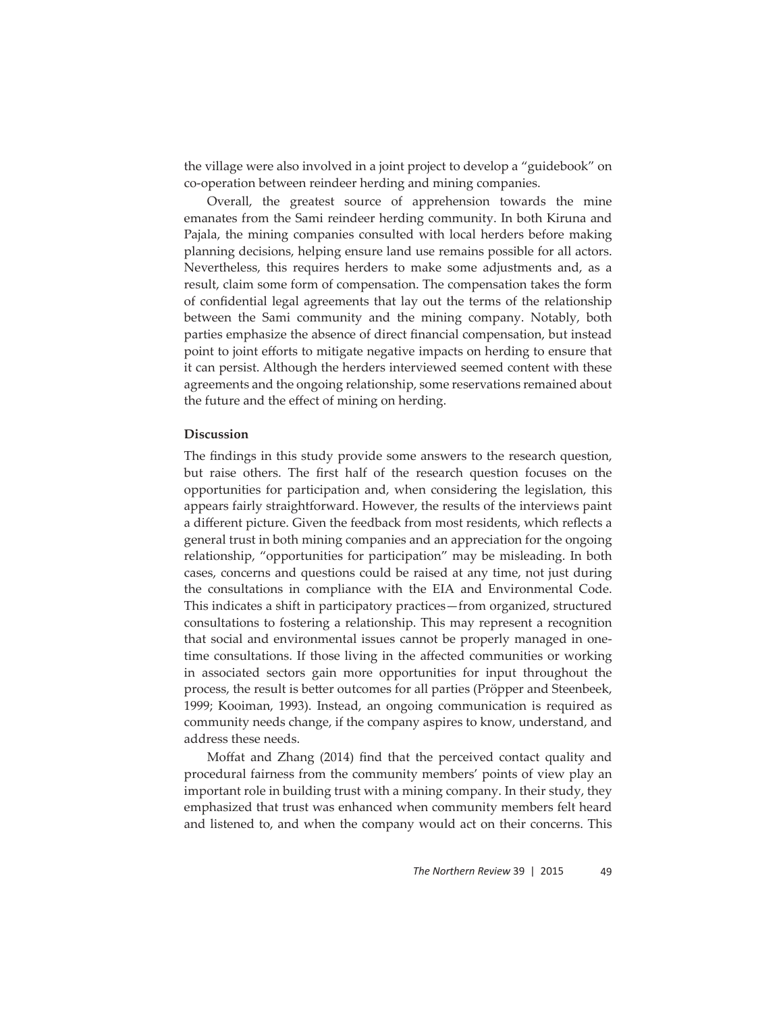the village were also involved in a joint project to develop a "guidebook" on co-operation between reindeer herding and mining companies.

Overall, the greatest source of apprehension towards the mine emanates from the Sami reindeer herding community. In both Kiruna and Pajala, the mining companies consulted with local herders before making planning decisions, helping ensure land use remains possible for all actors. Nevertheless, this requires herders to make some adjustments and, as a result, claim some form of compensation. The compensation takes the form of confidential legal agreements that lay out the terms of the relationship between the Sami community and the mining company. Notably, both parties emphasize the absence of direct financial compensation, but instead point to joint efforts to mitigate negative impacts on herding to ensure that it can persist. Although the herders interviewed seemed content with these agreements and the ongoing relationship, some reservations remained about the future and the effect of mining on herding.

# **Discussion**

The findings in this study provide some answers to the research question, but raise others. The first half of the research question focuses on the opportunities for participation and, when considering the legislation, this appears fairly straightforward. However, the results of the interviews paint a different picture. Given the feedback from most residents, which reflects a general trust in both mining companies and an appreciation for the ongoing relationship, "opportunities for participation" may be misleading. In both cases, concerns and questions could be raised at any time, not just during the consultations in compliance with the EIA and Environmental Code. This indicates a shift in participatory practices—from organized, structured consultations to fostering a relationship. This may represent a recognition that social and environmental issues cannot be properly managed in onetime consultations. If those living in the affected communities or working in associated sectors gain more opportunities for input throughout the process, the result is better outcomes for all parties (Pröpper and Steenbeek, 1999; Kooiman, 1993). Instead, an ongoing communication is required as community needs change, if the company aspires to know, understand, and address these needs.

Moffat and Zhang (2014) find that the perceived contact quality and procedural fairness from the community members' points of view play an important role in building trust with a mining company. In their study, they emphasized that trust was enhanced when community members felt heard and listened to, and when the company would act on their concerns. This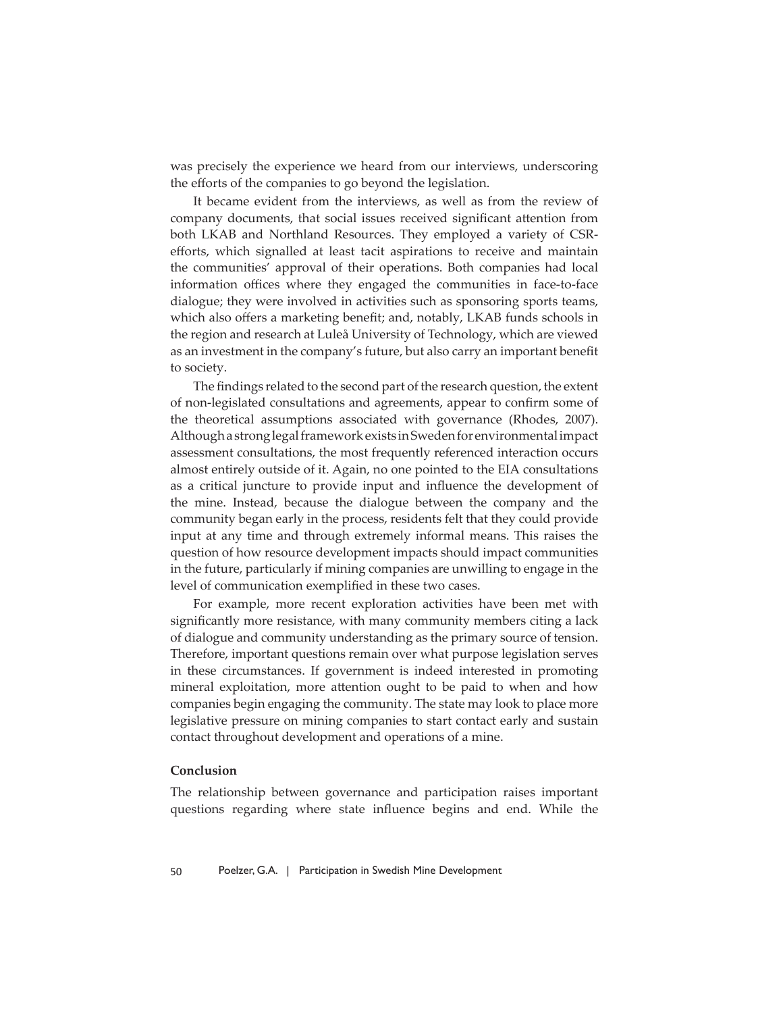was precisely the experience we heard from our interviews, underscoring the efforts of the companies to go beyond the legislation.

It became evident from the interviews, as well as from the review of company documents, that social issues received significant attention from both LKAB and Northland Resources. They employed a variety of CSRefforts, which signalled at least tacit aspirations to receive and maintain the communities' approval of their operations. Both companies had local information offices where they engaged the communities in face-to-face dialogue; they were involved in activities such as sponsoring sports teams, which also offers a marketing benefit; and, notably, LKAB funds schools in the region and research at Luleå University of Technology, which are viewed as an investment in the company's future, but also carry an important benefit to society.

The findings related to the second part of the research question, the extent of non-legislated consultations and agreements, appear to confirm some of the theoretical assumptions associated with governance (Rhodes, 2007). Although a strong legal framework exists in Sweden for environmental impact assessment consultations, the most frequently referenced interaction occurs almost entirely outside of it. Again, no one pointed to the EIA consultations as a critical juncture to provide input and influence the development of the mine. Instead, because the dialogue between the company and the community began early in the process, residents felt that they could provide input at any time and through extremely informal means. This raises the question of how resource development impacts should impact communities in the future, particularly if mining companies are unwilling to engage in the level of communication exemplified in these two cases.

For example, more recent exploration activities have been met with significantly more resistance, with many community members citing a lack of dialogue and community understanding as the primary source of tension. Therefore, important questions remain over what purpose legislation serves in these circumstances. If government is indeed interested in promoting mineral exploitation, more attention ought to be paid to when and how companies begin engaging the community. The state may look to place more legislative pressure on mining companies to start contact early and sustain contact throughout development and operations of a mine.

# **Conclusion**

The relationship between governance and participation raises important questions regarding where state influence begins and end. While the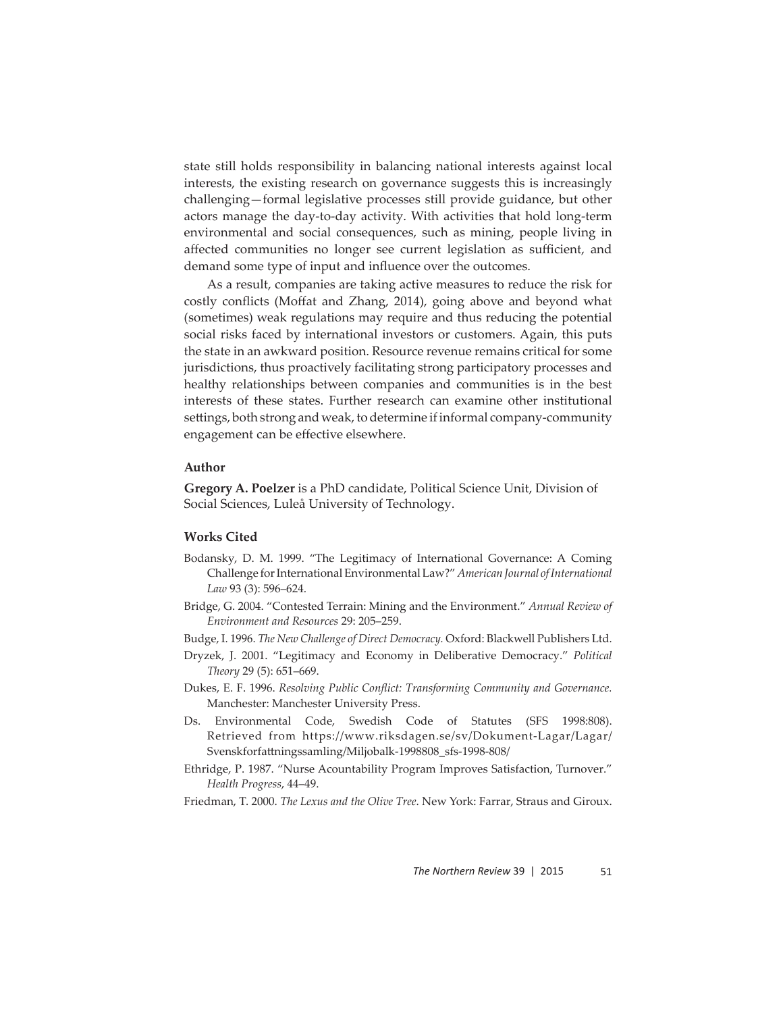state still holds responsibility in balancing national interests against local interests, the existing research on governance suggests this is increasingly challenging—formal legislative processes still provide guidance, but other actors manage the day-to-day activity. With activities that hold long-term environmental and social consequences, such as mining, people living in affected communities no longer see current legislation as sufficient, and demand some type of input and influence over the outcomes.

As a result, companies are taking active measures to reduce the risk for costly conflicts (Moffat and Zhang, 2014), going above and beyond what (sometimes) weak regulations may require and thus reducing the potential social risks faced by international investors or customers. Again, this puts the state in an awkward position. Resource revenue remains critical for some jurisdictions, thus proactively facilitating strong participatory processes and healthy relationships between companies and communities is in the best interests of these states. Further research can examine other institutional settings, both strong and weak, to determine if informal company-community engagement can be effective elsewhere.

# **Author**

**Gregory A. Poelzer** is a PhD candidate, Political Science Unit, Division of Social Sciences, Luleå University of Technology.

### **Works Cited**

- Bodansky, D. M. 1999. "The Legitimacy of International Governance: A Coming Challenge for International Environmental Law?" *American Journal of International Law* 93 (3): 596–624.
- Bridge, G. 2004. "Contested Terrain: Mining and the Environment." *Annual Review of Environment and Resources* 29: 205–259.

Budge, I. 1996. *The New Challenge of Direct Democracy.* Oxford: Blackwell Publishers Ltd.

- Dryzek, J. 2001. "Legitimacy and Economy in Deliberative Democracy." *Political Theory* 29 (5): 651–669.
- Dukes, E. F. 1996. *Resolving Public Conflict: Transforming Community and Governance*. Manchester: Manchester University Press.
- Ds. Environmental Code, Swedish Code of Statutes (SFS 1998:808). Retrieved  from  https://www.riksdagen.se/sv/Dokument-Lagar/Lagar/ Svenskforfattningssamling/Miljobalk-1998808\_sfs-1998-808/
- Ethridge, P. 1987. "Nurse Acountability Program Improves Satisfaction, Turnover." *Health Progress*, 44–49.
- Friedman, T. 2000. *The Lexus and the Olive Tree*. New York: Farrar, Straus and Giroux.